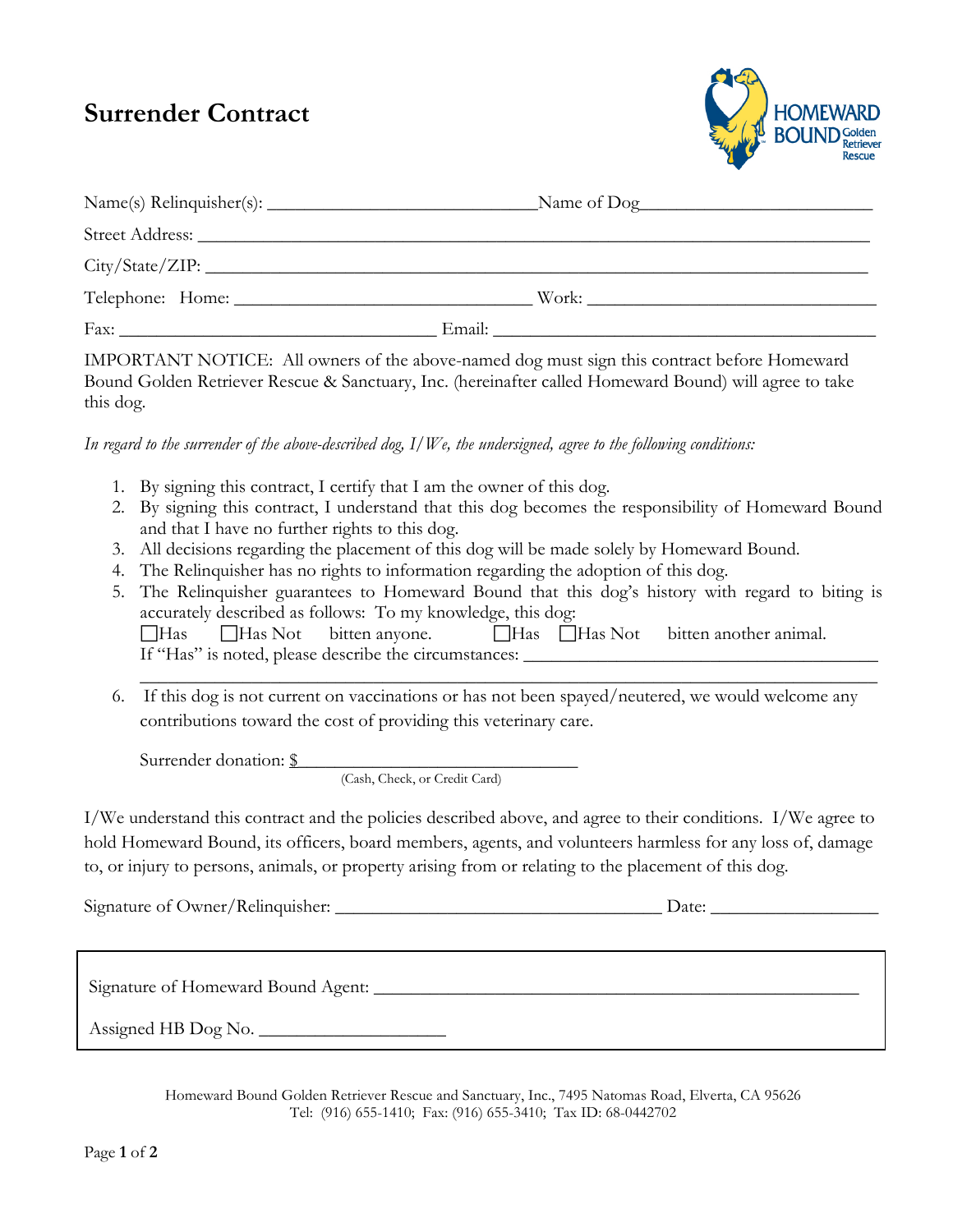## **Surrender Contract**



|                                                                                                                                                                                                                                | Name of Dog                                                               |
|--------------------------------------------------------------------------------------------------------------------------------------------------------------------------------------------------------------------------------|---------------------------------------------------------------------------|
| Street Address: No. 1986. The Street Address: No. 1987. The Street Address: No. 1987. The Street Address: No. 1987. The Street Address: No. 1987. The Street Address: No. 1987. The Street Address: No. 1987. The Street Addre |                                                                           |
| City / State / ZIP:                                                                                                                                                                                                            |                                                                           |
|                                                                                                                                                                                                                                | Work:                                                                     |
|                                                                                                                                                                                                                                | Email:<br><u> 1980 - John Stein, Amerikaansk konstantinopler († 1908)</u> |

IMPORTANT NOTICE: All owners of the above-named dog must sign this contract before Homeward Bound Golden Retriever Rescue & Sanctuary, Inc. (hereinafter called Homeward Bound) will agree to take this dog.

*In regard to the surrender of the above-described dog, I/We, the undersigned, agree to the following conditions:*

- 1. By signing this contract, I certify that I am the owner of this dog.
- 2. By signing this contract, I understand that this dog becomes the responsibility of Homeward Bound and that I have no further rights to this dog.
- 3. All decisions regarding the placement of this dog will be made solely by Homeward Bound.
- 4. The Relinquisher has no rights to information regarding the adoption of this dog.
- 5. The Relinquisher guarantees to Homeward Bound that this dog's history with regard to biting is accurately described as follows: To my knowledge, this dog: Has Has Not bitten anyone. Has Has Not bitten another animal. If "Has" is noted, please describe the circumstances:
- \_\_\_\_\_\_\_\_\_\_\_\_\_\_\_\_\_\_\_\_\_\_\_\_\_\_\_\_\_\_\_\_\_\_\_\_\_\_\_\_\_\_\_\_\_\_\_\_\_\_\_\_\_\_\_\_\_\_\_\_\_\_\_\_\_\_\_\_\_\_\_\_\_\_\_\_\_\_\_ 6. If this dog is not current on vaccinations or has not been spayed/neutered, we would welcome any contributions toward the cost of providing this veterinary care.

Surrender donation: \$

(Cash, Check, or Credit Card)

I/We understand this contract and the policies described above, and agree to their conditions. I/We agree to hold Homeward Bound, its officers, board members, agents, and volunteers harmless for any loss of, damage to, or injury to persons, animals, or property arising from or relating to the placement of this dog.

Signature of Owner/Relinquisher: \_\_\_\_\_\_\_\_\_\_\_\_\_\_\_\_\_\_\_\_\_\_\_\_\_\_\_\_\_\_\_\_\_\_\_ Date: \_\_\_\_\_\_\_\_\_\_\_\_\_\_\_\_\_\_

Signature of Homeward Bound Agent: \_\_\_\_\_\_\_\_\_\_\_\_\_\_\_\_\_\_\_\_\_\_\_\_\_\_\_\_\_\_\_\_\_\_\_\_\_\_\_\_\_\_\_\_\_\_\_\_\_\_\_\_

 $\mathcal{L}_\text{max}$  , and the contract of the contract of the contract of the contract of the contract of the contract of

Assigned HB Dog No. \_\_\_\_\_\_\_\_\_\_\_\_\_\_\_\_\_\_\_\_

Homeward Bound Golden Retriever Rescue and Sanctuary, Inc., 7495 Natomas Road, Elverta, CA 95626 Tel: (916) 655-1410; Fax: (916) 655-3410; Tax ID: 68-0442702